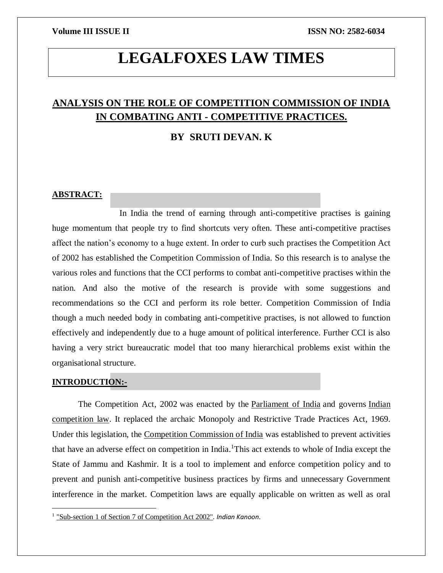# **LEGALFOXES LAW TIMES**

# **ANALYSIS ON THE ROLE OF COMPETITION COMMISSION OF INDIA IN COMBATING ANTI - COMPETITIVE PRACTICES.**

# **BY SRUTI DEVAN. K**

### **ABSTRACT:**

 In India the trend of earning through anti-competitive practises is gaining huge momentum that people try to find shortcuts very often. These anti-competitive practises affect the nation's economy to a huge extent. In order to curb such practises the Competition Act of 2002 has established the Competition Commission of India. So this research is to analyse the various roles and functions that the CCI performs to combat anti-competitive practises within the nation. And also the motive of the research is provide with some suggestions and recommendations so the CCI and perform its role better. Competition Commission of India though a much needed body in combating anti-competitive practises, is not allowed to function effectively and independently due to a huge amount of political interference. Further CCI is also having a very strict bureaucratic model that too many hierarchical problems exist within the organisational structure.

### **INTRODUCTION:-**

 $\overline{a}$ 

The Competition Act, 2002 was enacted by the [Parliament of India](https://en.wikipedia.org/wiki/Parliament_of_India) and governs Indian [competition law.](https://en.wikipedia.org/w/index.php?title=Indian_competition_law&action=edit&redlink=1) It replaced the archaic Monopoly and Restrictive Trade Practices Act, 1969. Under this legislation, the [Competition Commission of India](https://en.wikipedia.org/wiki/Competition_Commission_of_India) was established to prevent activities that have an adverse effect on competition in India.<sup>1</sup>This act extends to whole of India except the State of Jammu and Kashmir. It is a tool to implement and enforce competition policy and to prevent and punish anti-competitive business practices by firms and unnecessary Government interference in the market. Competition laws are equally applicable on written as well as oral

<sup>&</sup>lt;sup>1</sup> ["Sub-section 1 of Section 7 of Competition Act 2002"](http://indiankanoon.org/doc/1113485/). Indian Kanoon.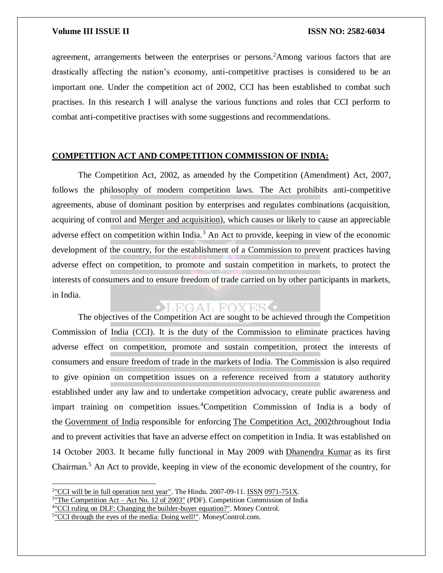agreement, arrangements between the enterprises or persons.<sup>2</sup>Among various factors that are drastically affecting the nation's economy, anti-competitive practises is considered to be an important one. Under the competition act of 2002, CCI has been established to combat such practises. In this research I will analyse the various functions and roles that CCI perform to combat anti-competitive practises with some suggestions and recommendations.

## **COMPETITION ACT AND COMPETITION COMMISSION OF INDIA:**

The Competition Act, 2002, as amended by the Competition (Amendment) Act, 2007, follows the philosophy of modern competition laws. The Act prohibits anti-competitive agreements, abuse of dominant position by enterprises and regulates combinations (acquisition, acquiring of control and [Merger and acquisition\)](https://en.wikipedia.org/wiki/Merger_and_acquisition), which causes or likely to cause an appreciable adverse effect on competition within India.<sup>3</sup> An Act to provide, keeping in view of the economic development of the country, for the establishment of a Commission to prevent practices having adverse effect on competition, to promote and sustain competition in markets, to protect the interests of consumers and to ensure freedom of trade carried on by other participants in markets, in India.

# $\bullet$ LEGAL FOXES $\bullet$

The objectives of the Competition Act are sought to be achieved through the Competition Commission of India (CCI). It is the duty of the Commission to eliminate practices having adverse effect on competition, promote and sustain competition, protect the interests of consumers and ensure freedom of trade in the markets of India. The Commission is also required to give opinion on competition issues on a reference received from a statutory authority established under any law and to undertake competition advocacy, create public awareness and impart training on competition issues.<sup>4</sup>Competition Commission of India is a body of the [Government of India](https://en.wikipedia.org/wiki/Government_of_India) responsible for enforcing [The Competition Act, 2002t](https://en.wikipedia.org/wiki/The_Competition_Act,_2002)hroughout India and to prevent activities that have an adverse effect on competition in India. It was established on 14 October 2003. It became fully functional in May 2009 with [Dhanendra Kumar](https://en.wikipedia.org/wiki/Dhanendra_Kumar) as its first Chairman.<sup>5</sup> An Act to provide, keeping in view of the economic development of the country, for

 $\overline{a}$ 

 $2 \text{''}$ CCI will be in full operation next year". The Hindu. 2007-09-11. [ISSN](https://en.wikipedia.org/wiki/International_Standard_Serial_Number) [0971-751X.](https://www.worldcat.org/issn/0971-751X)

 $3^{\circ}$ The Competition Act – Act No. 12 of 2003" (PDF). Competition Commission of India

<sup>&</sup>lt;sup>4</sup>["CCI ruling on DLF: Changing the builder-buyer equation?".](http://www.moneycontrol.com/news/business/cci-rulingdlf-changingbuilder-buyer-equation_803652.html) Money Control.

<sup>&</sup>lt;sup>5</sup>["CCI through the eyes of the media: Doing well!".](http://www.moneylife.in/article/competition-commission-through-the-eyes-of-the-media-doing-well/28549.html) MoneyControl.com.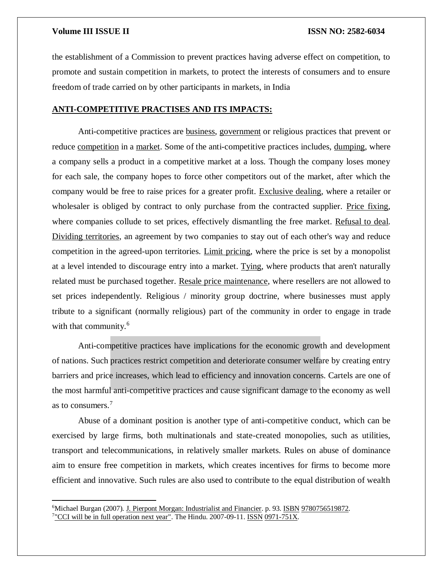$\overline{\phantom{a}}$ 

the establishment of a Commission to prevent practices having adverse effect on competition, to promote and sustain competition in markets, to protect the interests of consumers and to ensure freedom of trade carried on by other participants in markets, in India

### **ANTI-COMPETITIVE PRACTISES AND ITS IMPACTS:**

Anti-competitive practices are [business,](https://en.wikipedia.org/wiki/Business) [government](https://en.wikipedia.org/wiki/Government) or religious practices that prevent or reduce [competition](https://en.wikipedia.org/wiki/Competition) in a [market.](https://en.wikipedia.org/wiki/Market_(economics)) Some of the anti-competitive practices includes, [dumping,](https://en.wikipedia.org/wiki/Dumping_(pricing_policy)) where a company sells a product in a competitive market at a loss. Though the company loses money for each sale, the company hopes to force other competitors out of the market, after which the company would be free to raise prices for a greater profit. [Exclusive dealing,](https://en.wikipedia.org/wiki/Exclusive_dealing) where a retailer or wholesaler is obliged by contract to only purchase from the contracted supplier. [Price fixing,](https://en.wikipedia.org/wiki/Price_fixing) where companies collude to set prices, effectively dismantling the free market. [Refusal to deal.](https://en.wikipedia.org/wiki/Refusal_to_deal) [Dividing territories,](https://en.wikipedia.org/wiki/Dividing_territories) an agreement by two companies to stay out of each other's way and reduce competition in the agreed-upon territories. [Limit pricing,](https://en.wikipedia.org/wiki/Limit_price) where the price is set by a monopolist at a level intended to discourage entry into a market. [Tying,](https://en.wikipedia.org/wiki/Tying_(commerce)) where products that aren't naturally related must be purchased together. [Resale price maintenance,](https://en.wikipedia.org/wiki/Resale_price_maintenance) where resellers are not allowed to set prices independently. Religious / minority group doctrine, where businesses must apply tribute to a significant (normally religious) part of the community in order to engage in trade with that community.<sup>6</sup>

Anti-competitive practices have implications for the economic growth and development of nations. Such practices restrict competition and deteriorate consumer welfare by creating entry barriers and price increases, which lead to efficiency and innovation concerns. Cartels are one of the most harmful anti-competitive practices and cause significant damage to the economy as well as to consumers.<sup>7</sup>

Abuse of a dominant position is another type of anti-competitive conduct, which can be exercised by large firms, both multinationals and state-created monopolies, such as utilities, transport and telecommunications, in relatively smaller markets. Rules on abuse of dominance aim to ensure free competition in markets, which creates incentives for firms to become more efficient and innovative. Such rules are also used to contribute to the equal distribution of wealth

<sup>&</sup>lt;sup>6</sup>Michael Burgan (2007). [J. Pierpont Morgan: Industrialist and Financier.](https://books.google.com/books?id=XZqVCv435J8C&pg=PA93#v=onepage&q&f=false) p. 93. [ISBN](https://en.wikipedia.org/wiki/International_Standard_Book_Number) [9780756519872.](https://en.wikipedia.org/wiki/Special:BookSources/9780756519872) <sup>7</sup>["CCI will be in full operation next year".](http://www.thehindu.com/todays-paper/tp-business/cci-will-be-in-full-operation-next-year/article1909354.ece) The Hindu. 2007-09-11. [ISSN](https://en.wikipedia.org/wiki/International_Standard_Serial_Number) [0971-751X.](https://www.worldcat.org/issn/0971-751X)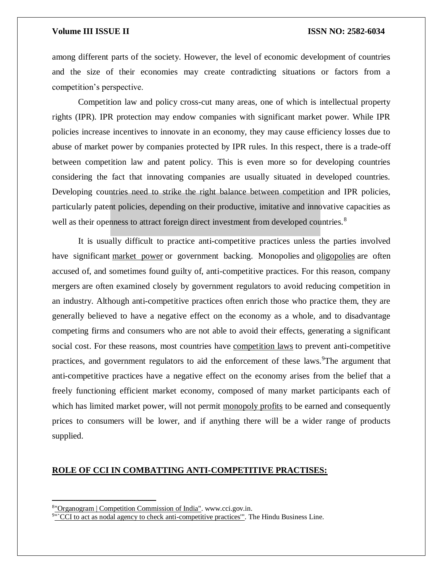among different parts of the society. However, the level of economic development of countries and the size of their economies may create contradicting situations or factors from a competition's perspective.

Competition law and policy cross-cut many areas, one of which is intellectual property rights (IPR). IPR protection may endow companies with significant market power. While IPR policies increase incentives to innovate in an economy, they may cause efficiency losses due to abuse of market power by companies protected by IPR rules. In this respect, there is a trade-off between competition law and patent policy. This is even more so for developing countries considering the fact that innovating companies are usually situated in developed countries. Developing countries need to strike the right balance between competition and IPR policies, particularly patent policies, depending on their productive, imitative and innovative capacities as well as their openness to attract foreign direct investment from developed countries.<sup>8</sup>

It is usually difficult to practice anti-competitive practices unless the parties involved have significant [market power](https://en.wikipedia.org/wiki/Market_power) or government backing. Monopolies and [oligopolies](https://en.wikipedia.org/wiki/Oligopolies) are often accused of, and sometimes found guilty of, anti-competitive practices. For this reason, company mergers are often examined closely by government regulators to avoid reducing competition in an industry. Although anti-competitive practices often enrich those who practice them, they are generally believed to have a negative effect on the economy as a whole, and to disadvantage competing firms and consumers who are not able to avoid their effects, generating a significant social cost. For these reasons, most countries have [competition laws](https://en.wikipedia.org/wiki/Competition_law) to prevent anti-competitive practices, and government regulators to aid the enforcement of these laws. The argument that anti-competitive practices have a negative effect on the economy arises from the belief that a freely functioning efficient market economy, composed of many market participants each of which has limited market power, will not permit [monopoly profits](https://en.wikipedia.org/wiki/Monopoly_profit) to be earned and consequently prices to consumers will be lower, and if anything there will be a wider range of products supplied.

### **ROLE OF CCI IN COMBATTING ANTI-COMPETITIVE PRACTISES:**

 $\overline{\phantom{a}}$ 

<sup>8</sup> ["Organogram | Competition Commission of India".](http://www.cci.gov.in/organogram) www.cci.gov.in.

<sup>&</sup>lt;sup>9"</sup>CCI to act as nodal agency to check anti-competitive practices". The Hindu Business Line.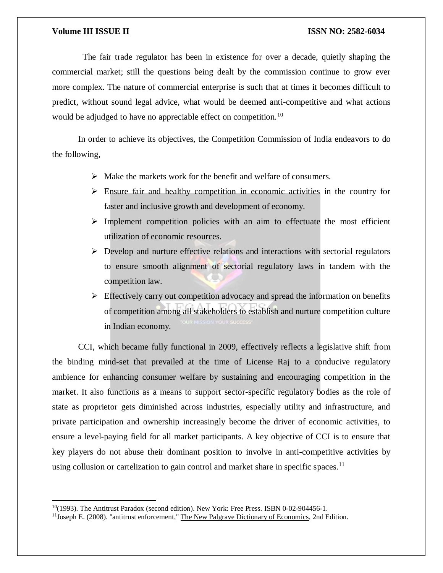$\overline{\phantom{a}}$ 

 The fair trade regulator has been in existence for over a decade, quietly shaping the commercial market; still the questions being dealt by the commission continue to grow ever more complex. The nature of commercial enterprise is such that at times it becomes difficult to predict, without sound legal advice, what would be deemed anti-competitive and what actions would be adjudged to have no appreciable effect on competition.<sup>10</sup>

In order to achieve its objectives, the Competition Commission of India endeavors to do the following,

- $\triangleright$  Make the markets work for the benefit and welfare of consumers.
- $\triangleright$  Ensure fair and healthy competition in economic activities in the country for faster and inclusive growth and development of economy.
- $\triangleright$  Implement competition policies with an aim to effectuate the most efficient utilization of economic resources.
- $\triangleright$  Develop and nurture effective relations and interactions with sectorial regulators to ensure smooth alignment of sectorial regulatory laws in tandem with the competition law.
- $\triangleright$  Effectively carry out competition advocacy and spread the information on benefits of competition among all stakeholders to establish and nurture competition culture in Indian economy.

CCI, which became fully functional in 2009, effectively reflects a legislative shift from the binding mind-set that prevailed at the time of License Raj to a conducive regulatory ambience for enhancing consumer welfare by sustaining and encouraging competition in the market. It also functions as a means to support sector-specific regulatory bodies as the role of state as proprietor gets diminished across industries, especially utility and infrastructure, and private participation and ownership increasingly become the driver of economic activities, to ensure a level-paying field for all market participants. A key objective of CCI is to ensure that key players do not abuse their dominant position to involve in anti-competitive activities by using collusion or cartelization to gain control and market share in specific spaces.<sup>11</sup>

 $10(1993)$ . The Antitrust Paradox (second edition). New York: Free Press. [ISBN 0-02-904456-1.](https://en.wikipedia.org/wiki/Special:BookSources/0029044561)

<sup>&</sup>lt;sup>11</sup>Joseph E. (2008). "antitrust enforcement," [The New Palgrave Dictionary of Economics,](https://en.wikipedia.org/wiki/The_New_Palgrave_Dictionary_of_Economics) 2nd Edition.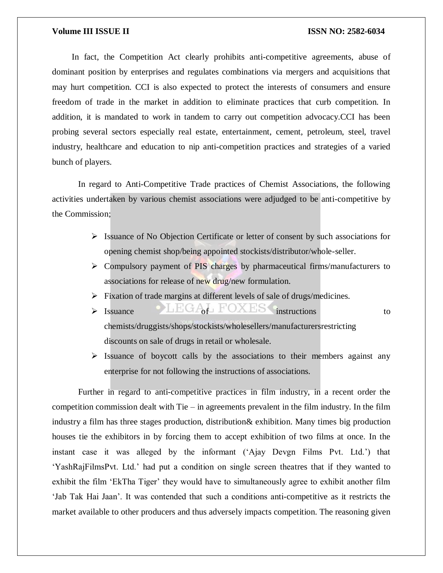In fact, the Competition Act clearly prohibits anti-competitive agreements, abuse of dominant position by enterprises and regulates combinations via mergers and acquisitions that may hurt competition. CCI is also expected to protect the interests of consumers and ensure freedom of trade in the market in addition to eliminate practices that curb competition. In addition, it is mandated to work in tandem to carry out competition advocacy.CCI has been probing several sectors especially real estate, entertainment, cement, petroleum, steel, travel industry, healthcare and education to nip anti-competition practices and strategies of a varied bunch of players.

In regard to Anti-Competitive Trade practices of Chemist Associations, the following activities undertaken by various chemist associations were adjudged to be anti-competitive by the Commission;

- $\triangleright$  Issuance of No Objection Certificate or letter of consent by such associations for opening chemist shop/being appointed stockists/distributor/whole-seller.
- $\triangleright$  Compulsory payment of PIS charges by pharmaceutical firms/manufacturers to associations for release of new drug/new formulation.
- $\triangleright$  Fixation of trade margins at different levels of sale of drugs/medicines.
- $\triangleright$  Issuance  $\bigcirc$  intructions to instructions to chemists/druggists/shops/stockists/wholesellers/manufacturersrestricting discounts on sale of drugs in retail or wholesale.
- $\triangleright$  Issuance of boycott calls by the associations to their members against any enterprise for not following the instructions of associations.

Further in regard to anti-competitive practices in film industry, in a recent order the competition commission dealt with Tie  $-$  in agreements prevalent in the film industry. In the film industry a film has three stages production, distribution& exhibition. Many times big production houses tie the exhibitors in by forcing them to accept exhibition of two films at once. In the instant case it was alleged by the informant ('Ajay Devgn Films Pvt. Ltd.') that 'YashRajFilmsPvt. Ltd.' had put a condition on single screen theatres that if they wanted to exhibit the film 'EkTha Tiger' they would have to simultaneously agree to exhibit another film 'Jab Tak Hai Jaan'. It was contended that such a conditions anti-competitive as it restricts the market available to other producers and thus adversely impacts competition. The reasoning given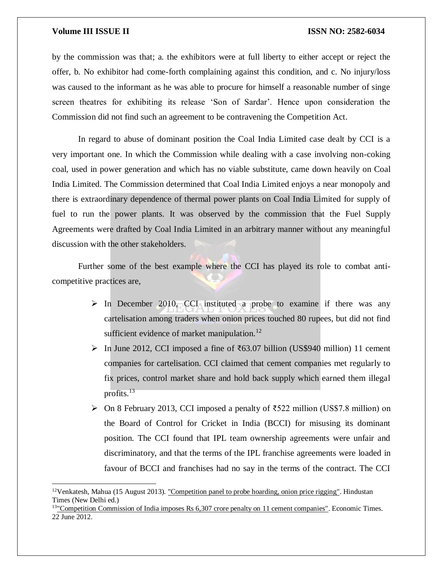$\overline{a}$ 

by the commission was that; a. the exhibitors were at full liberty to either accept or reject the offer, b. No exhibitor had come-forth complaining against this condition, and c. No injury/loss was caused to the informant as he was able to procure for himself a reasonable number of singe screen theatres for exhibiting its release 'Son of Sardar'. Hence upon consideration the Commission did not find such an agreement to be contravening the Competition Act.

In regard to abuse of dominant position the Coal India Limited case dealt by CCI is a very important one. In which the Commission while dealing with a case involving non-coking coal, used in power generation and which has no viable substitute, came down heavily on Coal India Limited. The Commission determined that Coal India Limited enjoys a near monopoly and there is extraordinary dependence of thermal power plants on Coal India Limited for supply of fuel to run the power plants. It was observed by the commission that the Fuel Supply Agreements were drafted by Coal India Limited in an arbitrary manner without any meaningful discussion with the other stakeholders.

Further some of the best example where the CCI has played its role to combat anticompetitive practices are,

- $\triangleright$  In December 2010, CCI instituted a probe to examine if there was any cartelisation among traders when onion prices touched 80 rupees, but did not find sufficient evidence of market manipulation.<sup>12</sup>
- $\triangleright$  In June 2012, CCI imposed a fine of ₹63.07 billion (US\$940 million) 11 cement companies for cartelisation. CCI claimed that cement companies met regularly to fix prices, control market share and hold back supply which earned them illegal profits.<sup>13</sup>
- $\triangleright$  On 8 February 2013, CCI imposed a penalty of ₹522 million (US\$7.8 million) on the Board of Control for Cricket in India (BCCI) for misusing its dominant position. The CCI found that IPL team ownership agreements were unfair and discriminatory, and that the terms of the IPL franchise agreements were loaded in favour of BCCI and franchises had no say in the terms of the contract. The CCI

<sup>&</sup>lt;sup>12</sup>Venkatesh, Mahua (15 August 2013). ["Competition panel to probe hoarding, onion price rigging".](http://www.hindustantimes.com/business-news/WorldEconomy/Competition-panel-to-probe-hoarding-onion-price-rigging/Article1-1108457.aspx) Hindustan Times (New Delhi ed.)

<sup>&</sup>lt;sup>13</sup>["Competition Commission of India imposes Rs 6,307 crore penalty on 11 cement companies".](http://articles.economictimes.indiatimes.com/2012-06-22/news/32368892_1_cement-makers-madras-cements-jk-cement) Economic Times. 22 June 2012.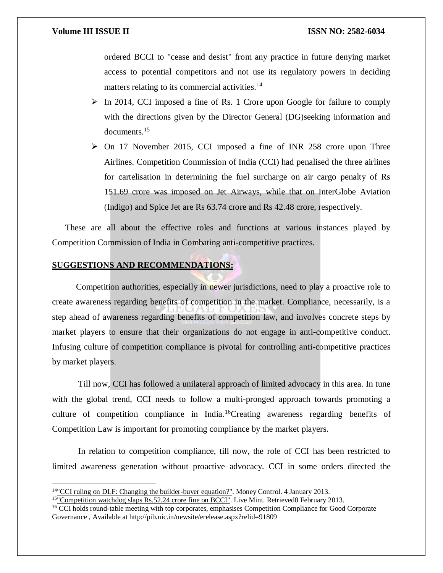$\overline{a}$ 

ordered BCCI to "cease and desist" from any practice in future denying market access to potential competitors and not use its regulatory powers in deciding matters relating to its commercial activities.<sup>14</sup>

- $\triangleright$  In 2014, CCI imposed a fine of Rs. 1 Crore upon Google for failure to comply with the directions given by the Director General (DG)seeking information and documents.<sup>15</sup>
- $\geq$  On 17 November 2015, CCI imposed a fine of INR 258 crore upon Three Airlines. Competition Commission of India (CCI) had penalised the three airlines for cartelisation in determining the fuel surcharge on air cargo penalty of Rs 151.69 crore was imposed on Jet Airways, while that on InterGlobe Aviation (Indigo) and Spice Jet are Rs 63.74 crore and Rs 42.48 crore, respectively.

These are all about the effective roles and functions at various instances played by Competition Commission of India in Combating anti-competitive practices.

### **SUGGESTIONS AND RECOMMENDATIONS:**

 Competition authorities, especially in newer jurisdictions, need to play a proactive role to create awareness regarding benefits of competition in the market. Compliance, necessarily, is a step ahead of awareness regarding benefits of competition law, and involves concrete steps by market players to ensure that their organizations do not engage in anti-competitive conduct. Infusing culture of competition compliance is pivotal for controlling anti-competitive practices by market players.

Till now, CCI has followed a unilateral approach of limited advocacy in this area. In tune with the global trend, CCI needs to follow a multi-pronged approach towards promoting a culture of competition compliance in India.<sup>16</sup>Creating awareness regarding benefits of Competition Law is important for promoting compliance by the market players.

In relation to competition compliance, till now, the role of CCI has been restricted to limited awareness generation without proactive advocacy. CCI in some orders directed the

<sup>14</sup>["CCI ruling on DLF: Changing the builder-buyer equation?".](http://www.moneycontrol.com/news/business/cci-rulingdlf-changingbuilder-buyer-equation_803652.html) Money Control. 4 January 2013.

<sup>&</sup>lt;sup>15"</sup>Competition watchdog slaps Rs.52.24 crore fine on BCCI". Live Mint. Retrieved8 February 2013.

<sup>&</sup>lt;sup>16</sup> CCI holds round-table meeting with top corporates, emphasises Competition Compliance for Good Corporate Governance , Available at http://pib.nic.in/newsite/erelease.aspx?relid=91809